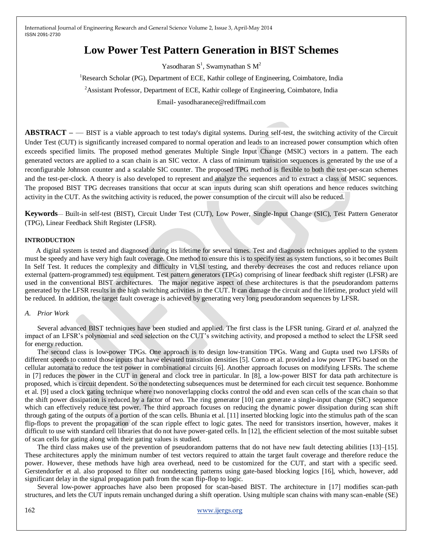# **Low Power Test Pattern Generation in BIST Schemes**

Yasodharan  $S<sup>1</sup>$ , Swamynathan S  $M<sup>2</sup>$ 

<sup>1</sup>Research Scholar (PG), Department of ECE, Kathir college of Engineering, Coimbatore, India

<sup>2</sup>Assistant Professor, Department of ECE, Kathir college of Engineering, Coimbatore, India

Email- yasodharanece@rediffmail.com

**ABSTRACT –** — BIST is a viable approach to test today's digital systems. During self-test, the switching activity of the Circuit Under Test (CUT) is significantly increased compared to normal operation and leads to an increased power consumption which often exceeds specified limits. The proposed method generates Multiple Single Input Change (MSIC) vectors in a pattern. The each generated vectors are applied to a scan chain is an SIC vector. A class of minimum transition sequences is generated by the use of a reconfigurable Johnson counter and a scalable SIC counter. The proposed TPG method is flexible to both the test-per-scan schemes and the test-per-clock. A theory is also developed to represent and analyze the sequences and to extract a class of MSIC sequences. The proposed BIST TPG decreases transitions that occur at scan inputs during scan shift operations and hence reduces switching activity in the CUT. As the switching activity is reduced, the power consumption of the circuit will also be reduced.

**Keywords**— Built-in self-test (BIST), Circuit Under Test (CUT), Low Power, Single-Input Change (SIC), Test Pattern Generator (TPG), Linear Feedback Shift Register (LFSR).

#### **INTRODUCTION**

A digital system is tested and diagnosed during its lifetime for several times. Test and diagnosis techniques applied to the system must be speedy and have very high fault coverage. One method to ensure this is to specify test as system functions, so it becomes Built In Self Test. It reduces the complexity and difficulty in VLSI testing, and thereby decreases the cost and reduces reliance upon external (pattern-programmed) test equipment. Test pattern generators (TPGs) comprising of linear feedback shift register (LFSR) are used in the conventional BIST architectures. The major negative aspect of these architectures is that the pseudorandom patterns generated by the LFSR results in the high switching activities in the CUT. It can damage the circuit and the lifetime, product yield will be reduced. In addition, the target fault coverage is achieved by generating very long pseudorandom sequences by LFSR.

#### *A. Prior Work*

Several advanced BIST techniques have been studied and applied. The first class is the LFSR tuning. Girard *et al.* analyzed the impact of an LFSR's polynomial and seed selection on the CUT's switching activity, and proposed a method to select the LFSR seed for energy reduction.

The second class is low-power TPGs. One approach is to design low-transition TPGs. Wang and Gupta used two LFSRs of different speeds to control those inputs that have elevated transition densities [5]. Corno et al. provided a low power TPG based on the cellular automata to reduce the test power in combinational circuits [6]. Another approach focuses on modifying LFSRs. The scheme in [7] reduces the power in the CUT in general and clock tree in particular. In [8], a low-power BIST for data path architecture is proposed, which is circuit dependent. So the nondetecting subsequences must be determined for each circuit test sequence. Bonhomme et al. [9] used a clock gating technique where two nonoverlapping clocks control the odd and even scan cells of the scan chain so that the shift power dissipation is reduced by a factor of two. The ring generator [10] can generate a single-input change (SIC) sequence which can effectively reduce test power. The third approach focuses on reducing the dynamic power dissipation during scan shift through gating of the outputs of a portion of the scan cells. Bhunia et al. [11] inserted blocking logic into the stimulus path of the scan flip-flops to prevent the propagation of the scan ripple effect to logic gates. The need for transistors insertion, however, makes it difficult to use with standard cell libraries that do not have power-gated cells. In [12], the efficient selection of the most suitable subset of scan cells for gating along with their gating values is studied.

The third class makes use of the prevention of pseudorandom patterns that do not have new fault detecting abilities [13]–[15]. These architectures apply the minimum number of test vectors required to attain the target fault coverage and therefore reduce the power. However, these methods have high area overhead, need to be customized for the CUT, and start with a specific seed. Gerstendorfer et al. also proposed to filter out nondetecting patterns using gate-based blocking logics [16], which, however, add significant delay in the signal propagation path from the scan flip-flop to logic.

Several low-power approaches have also been proposed for scan-based BIST. The architecture in [17] modifies scan-path structures, and lets the CUT inputs remain unchanged during a shift operation. Using multiple scan chains with many scan-enable (SE)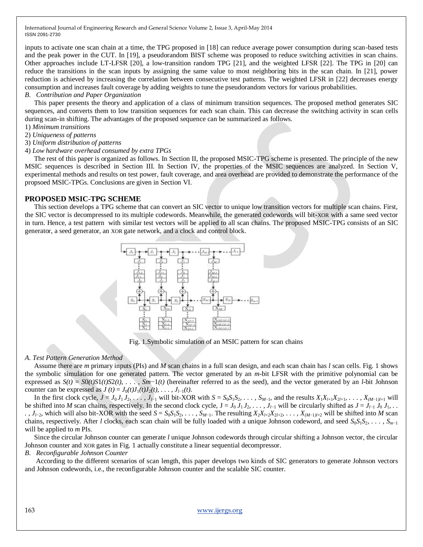inputs to activate one scan chain at a time, the TPG proposed in [18] can reduce average power consumption during scan-based tests and the peak power in the CUT. In [19], a pseudorandom BIST scheme was proposed to reduce switching activities in scan chains. Other approaches include LT-LFSR [20], a low-transition random TPG [21], and the weighted LFSR [22]. The TPG in [20] can reduce the transitions in the scan inputs by assigning the same value to most neighboring bits in the scan chain. In [21], power reduction is achieved by increasing the correlation between consecutive test patterns. The weighted LFSR in [22] decreases energy consumption and increases fault coverage by adding weights to tune the pseudorandom vectors for various probabilities.

#### *B. Contribution and Paper Organization*

This paper presents the theory and application of a class of minimum transition sequences. The proposed method generates SIC sequences, and converts them to low transition sequences for each scan chain. This can decrease the switching activity in scan cells during scan-in shifting. The advantages of the proposed sequence can be summarized as follows.

- 1) *Minimum transitions*
- 2) *Uniqueness of patterns*
- 3) *Uniform distribution of patterns*
- 4) *Low hardware overhead consumed by extra TPGs*

The rest of this paper is organized as follows. In Section II, the proposed MSIC-TPG scheme is presented. The principle of the new MSIC sequences is described in Section III. In Section IV, the properties of the MSIC sequences are analyzed. In Section V, experimental methods and results on test power, fault coverage, and area overhead are provided to demonstrate the performance of the propsoed MSIC-TPGs. Conclusions are given in Section VI.

## **PROPOSED MSIC-TPG SCHEME**

This section develops a TPG scheme that can convert an SIC vector to unique low transition vectors for multiple scan chains. First, the SIC vector is decompressed to its multiple codewords. Meanwhile, the generated codewords will bit-XOR with a same seed vector in turn. Hence, a test pattern with similar test vectors will be applied to all scan chains. The proposed MSIC-TPG consists of an SIC generator, a seed generator, an XOR gate network, and a clock and control block.



Fig. 1.Symbolic simulation of an MSIC pattern for scan chains

### *A. Test Pattern Generation Method*

Assume there are *m* primary inputs (PIs) and *M* scan chains in a full scan design, and each scan chain has *l* scan cells. Fig. 1 shows the symbolic simulation for one generated pattern. The vector generated by an *m*-bit LFSR with the primitive polynomial can be expressed as  $S(t) = S0(t)S1(t)S2(t), \ldots, Sm-1(t)$  (hereinafter referred to as the seed), and the vector generated by an *l*-bit Johnson counter can be expressed as  $J(t) = J_0(t)J_1(t)J_2(t), \ldots, J_{l-1}(t)$ .

In the first clock cycle,  $J = J_0 J_1 J_2, \ldots, J_{l-1}$  will bit-XOR with  $S = S_0 S_1 S_2, \ldots, S_{M-1}$ , and the results  $X_1 X_{l+1} X_{2l+1}, \ldots, X_{(M-1)l+1}$  will be shifted into M scan chains, respectively. In the second clock cycle,  $J = J_0 J_1 J_2 \ldots$ ,  $J_{l-1}$  will be circularly shifted as  $J = J_{l-1} J_0 J_1$ . .,  $J_{l-2}$ , which will also bit-XOR with the seed  $S = S_0S_1S_2$ , ...,  $S_{M-1}$ . The resulting  $X_2X_{l+2}X_{2l+2}$ , ...,  $X_{(M-1)l+2}$  will be shifted into M scan chains, respectively. After *l* clocks, each scan chain will be fully loaded with a unique Johnson codeword, and seed *S*0*S*1*S*2*, . . . , Sm*−1 will be applied to *m* PIs.

Since the circular Johnson counter can generate *l* unique Johnson codewords through circular shifting a Johnson vector, the circular Johnson counter and XOR gates in Fig. 1 actually constitute a linear sequential decompressor.

*B. Reconfigurable Johnson Counter*

According to the different scenarios of scan length, this paper develops two kinds of SIC generators to generate Johnson vectors and Johnson codewords, i.e., the reconfigurable Johnson counter and the scalable SIC counter.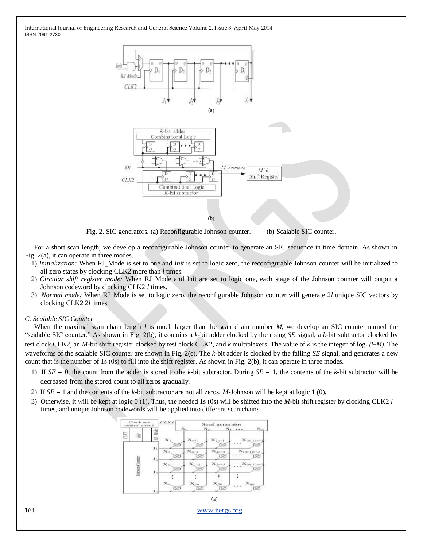

Fig. 2. SIC generators. (a) Reconfigurable Johnson counter. (b) Scalable SIC counter.

For a short scan length, we develop a reconfigurable Johnson counter to generate an SIC sequence in time domain. As shown in Fig. 2(a), it can operate in three modes.

- 1) *Initialization:* When RJ\_Mode is set to one and *Init* is set to logic zero, the reconfigurable Johnson counter will be initialized to all zero states by clocking CLK2 more than *l* times.
- 2) *Circular shift register mode:* When RJ\_Mode and Init are set to logic one, each stage of the Johnson counter will output a Johnson codeword by clocking CLK2 *l* times.
- 3) *Normal mode:* When RJ\_Mode is set to logic zero, the reconfigurable Johnson counter will generate 2*l* unique SIC vectors by clocking CLK2 2*l* times.

### *C. Scalable SIC Counter*

When the maximal scan chain length *l* is much larger than the scan chain number *M*, we develop an SIC counter named the ―scalable SIC counter.‖ As shown in Fig. 2(b), it contains a *k*-bit adder clocked by the rising *SE* signal, a *k*-bit subtractor clocked by test clock CLK2, an *M*-bit shift register clocked by test clock CLK2, and *k* multiplexers. The value of *k* is the integer of log<sub>2</sub> (l−*M*). The waveforms of the scalable SIC counter are shown in Fig. 2(c). The *k*-bit adder is clocked by the falling *SE* signal, and generates a new count that is the number of 1s (0s) to fill into the shift register. As shown in Fig. 2(b), it can operate in three modes.

- 1) If *SE* = 0, the count from the adder is stored to the *k*-bit subtractor. During *SE* = 1, the contents of the *k*-bit subtractor will be decreased from the stored count to all zeros gradually.
- 2) If *SE* = 1 and the contents of the *k*-bit subtractor are not all zeros, *M*-Johnson will be kept at logic 1 (0).
- 3) Otherwise, it will be kept at logic 0 (1). Thus, the needed 1s (0s) will be shifted into the *M*-bit shift register by clocking CLK2 *l*  times, and unique Johnson codewords will be applied into different scan chains.



164 [www.ijergs.org](http://www.ijergs.org/)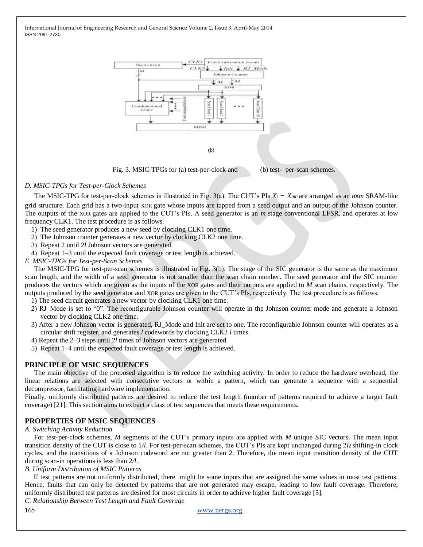

## *D. MSIC-TPGs for Test-per-Clock Schemes*

The MSIC-TPG for test-per-clock schemes is illustrated in Fig. 3(a). The CUT's PIs *X*1 − *Xmn* are arranged as an *n*x*m* SRAM-like grid structure. Each grid has a two-input XOR gate whose inputs are tapped from a seed output and an output of the Johnson counter. The outputs of the XOR gates are applied to the CUT's PIs. A seed generator is an *m* stage conventional LFSR, and operates at low frequency CLK1. The test procedure is as follows.

- 1) The seed generator produces a new seed by clocking CLK1 one time.
- 2) The Johnson counter generates a new vector by clocking CLK2 one time.
- 3) Repeat 2 until 2*l* Johnson vectors are generated.
- 4) Repeat 1–3 until the expected fault coverage or test length is achieved.
- *E. MSIC-TPGs for Test-per-Scan Schemes*

The MSIC-TPG for test-per-scan schemes is illustrated in Fig. 3(b). The stage of the SIC generator is the same as the maximum scan length, and the width of a seed generator is not smaller than the scan chain number. The seed generator and the SIC counter produces the vectors which are given as the inputs of the XOR gates and their outputs are applied to *M* scan chains, respectively. The outputs produced by the seed generator and XOR gates are given to the CUT's PIs, respectively. The test procedure is as follows.

- 1) The seed circuit generates a new vector by clocking CLK1 one time.
- 2) RJ\_Mode is set to "0". The reconfigurable Johnson counter will operate in the Johnson counter mode and generate a Johnson vector by clocking CLK2 one time.
- 3) After a new Johnson vector is generated, RJ\_Mode and Init are set to one. The reconfigurable Johnson counter will operates as a circular shift register, and generates *l* codewords by clocking CLK2 *l* times.
- 4) Repeat the 2–3 steps until 2*l* times of Johnson vectors are generated.
- 5) Repeat 1–4 until the expected fault coverage or test length is achieved.

# **PRINCIPLE OF MSIC SEQUENCES**

The main objective of the proposed algorithm is to reduce the switching activity. In order to reduce the hardware overhead, the linear relations are selected with consecutive vectors or within a pattern, which can generate a sequence with a sequential decompressor, facilitating hardware implementation.

Finally, uniformly distributed patterns are desired to reduce the test length (number of patterns required to achieve a target fault coverage) [21]. This section aims to extract a class of test sequences that meets these requirements.

# **PROPERTIES OF MSIC SEQUENCES**

#### *A. Switching Activity Reduction*

For test-per-clock schemes, *M* segments of the CUT's primary inputs are applied with *M* unique SIC vectors. The mean input transition density of the CUT is close to 1*/l*. For test-per-scan schemes, the CUT's PIs are kept unchanged during 2*l*2 shifting-in clock cycles, and the transitions of a Johnson codeword are not greater than 2. Therefore, the mean input transition density of the CUT during scan-in operations is less than 2*/l*.

*B. Uniform Distribution of MSIC Patterns*

 If test patterns are not uniformly distributed, there might be some inputs that are assigned the same values in most test patterns. Hence, faults that can only be detected by patterns that are not generated may escape, leading to low fault coverage. Therefore, uniformly distributed test patterns are desired for most circuits in order to achieve higher fault coverage [5].

*C. Relationship Between Test Length and Fault Coverage*

165 [www.ijergs.org](http://www.ijergs.org/)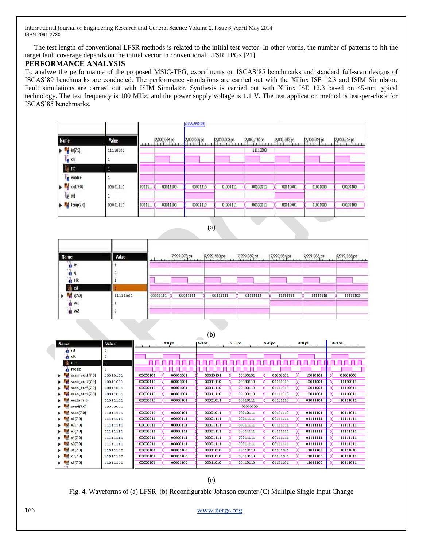The test length of conventional LFSR methods is related to the initial test vector. In other words, the number of patterns to hit the target fault coverage depends on the initial vector in conventional LFSR TPGs [21].

## **PERFORMANCE ANALYSIS**

To analyze the performance of the proposed MSIC-TPG, experiments on ISCAS'85 benchmarks and standard full-scan designs of ISCAS'89 benchmarks are conducted. The performance simulations are carried out with the Xilinx ISE 12.3 and ISIM Simulator. Fault simulations are carried out with ISIM Simulator. Synthesis is carried out with Xilinx ISE 12.3 based on 45-nm typical technology. The test frequency is 100 MHz, and the power supply voltage is 1.1 V. The test application method is test-per-clock for ISCAS'85 benchmarks.

|                                    |          |       |                | Stonation be |              |              |               |              |              |  |
|------------------------------------|----------|-------|----------------|--------------|--------------|--------------|---------------|--------------|--------------|--|
| Name                               | Value    | 1111  | [2,000,004 ps] | 2,000,006 ps | 2,000,008 ps | 2,000,010 ps | [2,000,012 ps | 2,000,014 ps | 2,000,016 ps |  |
| ьM<br>in[7:0]<br>b<br>dk           | 11110000 |       |                |              |              | 11110000     |               | $\sim$       |              |  |
| W <sub>i</sub> rst<br>ĥ<br>enable  | 1        |       |                |              |              |              |               |              |              |  |
| out[7:0]<br>n<br>U <sub>2</sub> w1 | 00001110 | 00111 | 00011100       | 00001110     | 01000111     | 00100011     | 00010001      | 01001000     | 00100100     |  |
| temp[7:0]                          | 00001110 | 00111 | 00011100       | 00001110     | 01000111     | 00100011     | 00010001      | 01001000     | 00100100     |  |

(a)

| Name                                                               | Value    |          | 17,999,978 ps | 17,999,980 ps | 7,999,982 ps | 7,999,984 ps | 7,999,986 ps | 7,999,988 ps |
|--------------------------------------------------------------------|----------|----------|---------------|---------------|--------------|--------------|--------------|--------------|
| <sub>n</sub> in<br>$\mathbb{I}^n$ o<br>$\frac{1}{2}$ cik<br>in rst |          | -        |               |               |              |              |              |              |
| [7:0]<br>$\frac{1}{2}$ w1<br>$\frac{1}{2}$ w2                      | 11111000 | 00001111 | 00011111      | 00111111      | 01111111     | 11111111     | 11111110     | 11111100     |

(b)

| <b>Name</b>          | Value    |          | 700 ps   | 750 ps   | 800 ps   | 850 ps   | 900 ps   | 950 ps   |
|----------------------|----------|----------|----------|----------|----------|----------|----------|----------|
| <b>the rst</b>       | o        |          |          |          |          |          |          |          |
| l <mark>l</mark> dk  | ٥        |          |          |          |          |          |          |          |
| U≞ init              | 11       | пп       |          | .        | nnnnn    | nn nn n  | .        |          |
| mode                 |          |          |          |          |          |          |          |          |
| scan_out1[7:0]<br>ь. | 10010101 | 00000101 | 00001001 | 00010101 | 00100101 | 01010101 | 10010101 | 01001000 |
| scan_out2[7:0]<br>ь. | 10011001 | 00000110 | 00001001 | 00011110 | 00100110 | 01111010 | 10011001 | 11110011 |
| scan_out3[7:0]       | 10011001 | 00000110 | 00001001 | 00011110 | 00100110 | 01111010 | 10011001 | 11110011 |
| scan_out4[7:0]<br>ь. | 10011001 | 00000110 | 00001001 | 00011110 | 00100110 | 01111010 | 10011001 | 11110011 |
| vector[7:0]          | 01011101 | 00000010 | 00000101 | 00001011 | 00010111 | 00101110 | 01011101 | 10111011 |
| seed[7:0]            | 00000000 |          |          |          | 00000000 |          |          |          |
| scan[7:0]<br>ь.      | 01011101 | 00000010 | 00000101 | 00001011 | 00010111 | 00101110 | 01011101 | 10111011 |
| v1 [7:0]             | 01111111 | 00000011 | 00000111 | 00001111 | 00011111 | 00111111 | 01111111 | 11111111 |
| v2[7:0]<br>۰.        | 01111111 | 00000011 | 00000111 | 00001111 | 00011111 | 00111111 | 01111111 | 11111111 |
| v3[7:0]              | 01111111 | 00000011 | 00000111 | 00001111 | 00011111 | 00111111 | 01111111 | 11111111 |
| v4[7:0]              | 01111111 | 00000011 | 00000111 | 00001111 | 00011111 | 00111111 | 01111111 | 11111111 |
| s0[7:0]<br>ь.        | 01111111 | 00000011 | 00000111 | 00001111 | 00011111 | 00111111 | 01111111 | 11111111 |
| s1[7:0]<br>ь.        | 11011100 | 00000101 | 00001100 | 00011010 | 00110110 | 01101101 | 11011100 | 10111010 |
| s2[7:0]<br>ь.        | 11011100 | 00000101 | 00001100 | 00011010 | 00110110 | 01101101 | 11011100 | 10111011 |
| s3[7:0]              | 11011100 | 00000101 | 00001100 | 00011010 | 00110110 | 01101101 | 11011100 | 10111011 |
|                      |          |          |          |          |          |          |          |          |

Fig. 4. Waveforms of (a) LFSR (b) Reconfigurable Johnson counter (C) Multiple Single Input Change

166 [www.ijergs.org](http://www.ijergs.org/)